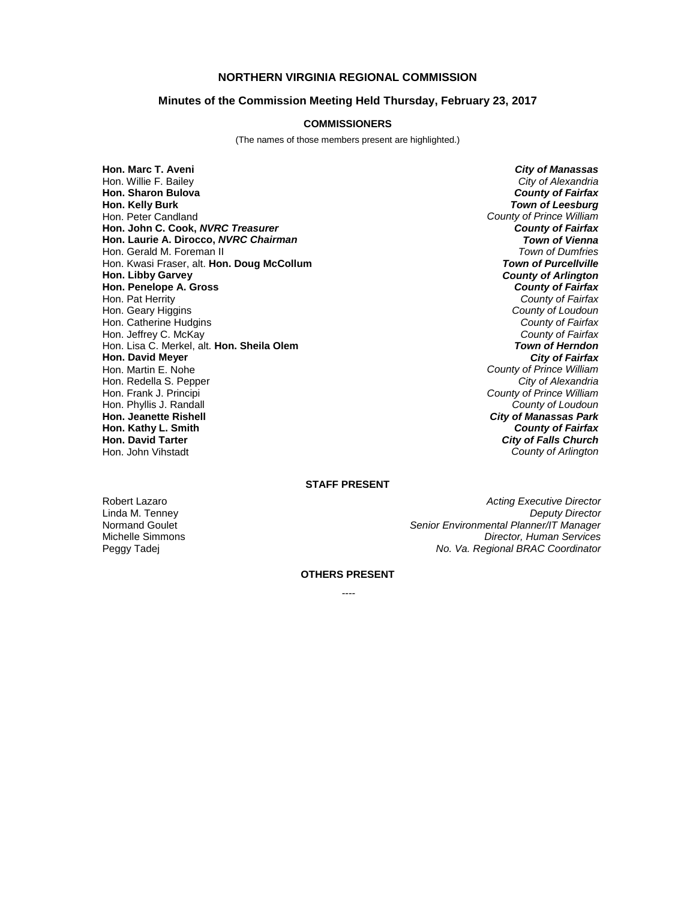## **NORTHERN VIRGINIA REGIONAL COMMISSION**

# **Minutes of the Commission Meeting Held Thursday, February 23, 2017**

### **COMMISSIONERS**

(The names of those members present are highlighted.)

**Hon. Marc T. Aveni** *City of Manassas* Hon. Willie F. Bailey *City of Alexandria* **Hon. Sharon Bulova**<br>**Hon. Kelly Burk** Hon. Peter Candland *County of Prince William* **Hon. John C. Cook,** *NVRC Treasurer County of Fairfax* **Hon. Laurie A. Dirocco,** *NVRC Chairman Town of Vienna* Hon. Gerald M. Foreman II *Town of Dumfries* Hon. Kwasi Fraser, alt. Hon. Doug McCollum **Hon. Libby Garvey** *County of Arlington* **Hon. Penelope A. Gross** *County of Fairfax* Hon. Geary Higgins *County of Loudoun* Hon. Catherine Hudgins *County of Fairfax* Hon. Jeffrey C. McKay *County of Fairfax* Hon. Lisa C. Merkel, alt. **Hon. Sheila Olem** *Town of Herndon* **Hon. David Meyer**<br>**Hon. Martin E. Nohe** Hon. Redella S. Pepper<br>Hon. Frank J. Principi Hon. Phyllis J. Randall *County of Loudoun* **Hon. Jeanette Rishell** *City of Manassas Park* **Hon. Kathy L. Smith** *County of Fairfax* Hon. John Vihstadt *County of Arlington*

**Town of Leesburg** County of Fairfax<br>County of Loudoun County of Prince William<br>City of Alexandria **County of Prince William City of Falls Church** 

# **STAFF PRESENT**

Robert Lazaro *Acting Executive Director Acting Executive Director* Linda M. Tenney *Deputy Director* Normand Goulet *Senior Environmental Planner/IT Manager* Michelle Simmons *Director, Human Services* Peggy Tadej *No. Va. Regional BRAC Coordinator*

## **OTHERS PRESENT**

 *----*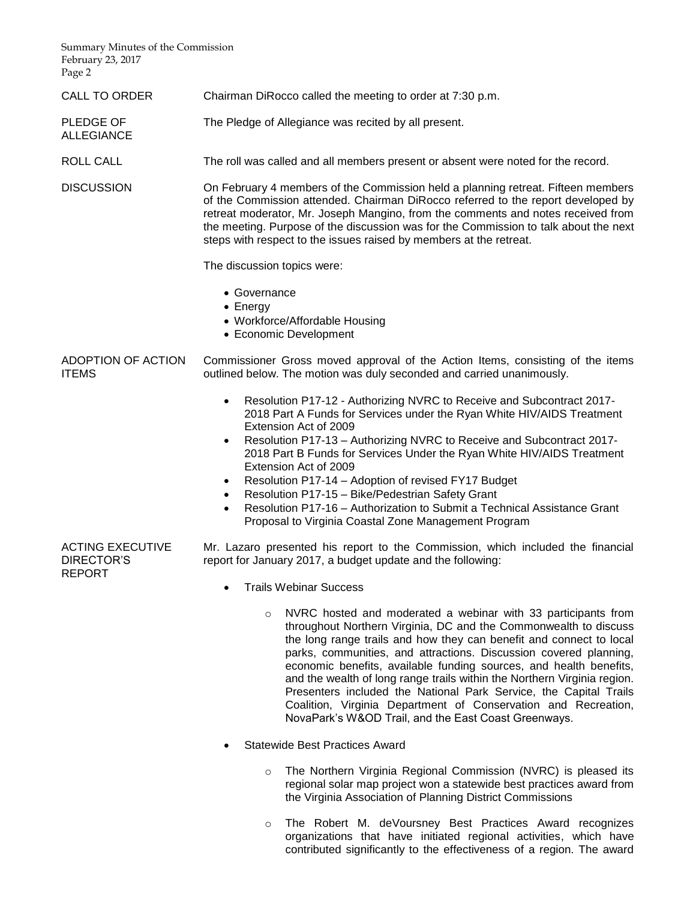Summary Minutes of the Commission February 23, 2017 Page 2

ALLEGIANCE

DIRECTOR'S REPORT

CALL TO ORDER Chairman DiRocco called the meeting to order at 7:30 p.m.

PLEDGE OF The Pledge of Allegiance was recited by all present.

ROLL CALL The roll was called and all members present or absent were noted for the record.

DISCUSSION On February 4 members of the Commission held a planning retreat. Fifteen members of the Commission attended. Chairman DiRocco referred to the report developed by retreat moderator, Mr. Joseph Mangino, from the comments and notes received from the meeting. Purpose of the discussion was for the Commission to talk about the next steps with respect to the issues raised by members at the retreat.

The discussion topics were:

- Governance
- Energy
- Workforce/Affordable Housing
- Economic Development

#### ADOPTION OF ACTION ITEMS Commissioner Gross moved approval of the Action Items, consisting of the items outlined below. The motion was duly seconded and carried unanimously.

- Resolution P17-12 Authorizing NVRC to Receive and Subcontract 2017- 2018 Part A Funds for Services under the Ryan White HIV/AIDS Treatment Extension Act of 2009
- Resolution P17-13 Authorizing NVRC to Receive and Subcontract 2017- 2018 Part B Funds for Services Under the Ryan White HIV/AIDS Treatment Extension Act of 2009
- Resolution P17-14 Adoption of revised FY17 Budget
- Resolution P17-15 Bike/Pedestrian Safety Grant
- Resolution P17-16 Authorization to Submit a Technical Assistance Grant Proposal to Virginia Coastal Zone Management Program

ACTING EXECUTIVE Mr. Lazaro presented his report to the Commission, which included the financial report for January 2017, a budget update and the following:

- Trails Webinar Success
	- o NVRC hosted and moderated a webinar with 33 participants from throughout Northern Virginia, DC and the Commonwealth to discuss the long range trails and how they can benefit and connect to local parks, communities, and attractions. Discussion covered planning, economic benefits, available funding sources, and health benefits, and the wealth of long range trails within the Northern Virginia region. Presenters included the National Park Service, the Capital Trails Coalition, Virginia Department of Conservation and Recreation, NovaPark's W&OD Trail, and the East Coast Greenways.
- Statewide Best Practices Award
	- $\circ$  The Northern Virginia Regional Commission (NVRC) is pleased its regional solar map project won a statewide best practices award from the Virginia Association of Planning District Commissions
	- o The Robert M. deVoursney Best Practices Award recognizes organizations that have initiated regional activities, which have contributed significantly to the effectiveness of a region. The award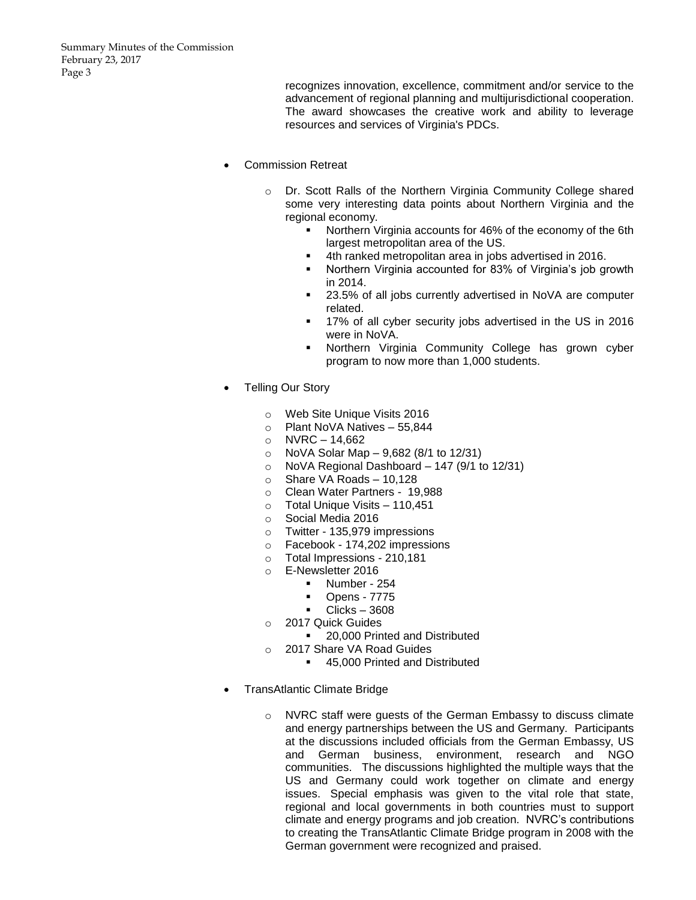recognizes innovation, excellence, commitment and/or service to the advancement of regional planning and multijurisdictional cooperation. The award showcases the creative work and ability to leverage resources and services of Virginia's PDCs.

- Commission Retreat
	- o Dr. Scott Ralls of the Northern Virginia Community College shared some very interesting data points about Northern Virginia and the regional economy.
		- **Northern Virginia accounts for 46% of the economy of the 6th** largest metropolitan area of the US.
			- 4th ranked metropolitan area in jobs advertised in 2016.
		- Northern Virginia accounted for 83% of Virginia's job growth in 2014.
		- 23.5% of all jobs currently advertised in NoVA are computer related.
		- 17% of all cyber security jobs advertised in the US in 2016 were in NoVA.
		- Northern Virginia Community College has grown cyber program to now more than 1,000 students.
- Telling Our Story
	- o Web Site Unique Visits 2016
	- o Plant NoVA Natives 55,844
	- $\circ$  NVRC 14,662
	- o NoVA Solar Map 9,682 (8/1 to 12/31)
	- $\circ$  NoVA Regional Dashboard 147 (9/1 to 12/31)
	- $\circ$  Share VA Roads 10.128
	- o Clean Water Partners 19,988
	- o Total Unique Visits 110,451
	- o Social Media 2016
	- o Twitter 135,979 impressions
	- o Facebook 174,202 impressions
	- o Total Impressions 210,181
	- o E-Newsletter 2016
		- Number 254
		- Opens 7775
		- $\blacksquare$  Clicks 3608
	- o 2017 Quick Guides
		- 20,000 Printed and Distributed
	- o 2017 Share VA Road Guides
		- 45,000 Printed and Distributed
- TransAtlantic Climate Bridge
	- o NVRC staff were guests of the German Embassy to discuss climate and energy partnerships between the US and Germany. Participants at the discussions included officials from the German Embassy, US and German business, environment, research and NGO communities. The discussions highlighted the multiple ways that the US and Germany could work together on climate and energy issues. Special emphasis was given to the vital role that state, regional and local governments in both countries must to support climate and energy programs and job creation. NVRC's contributions to creating the TransAtlantic Climate Bridge program in 2008 with the German government were recognized and praised.